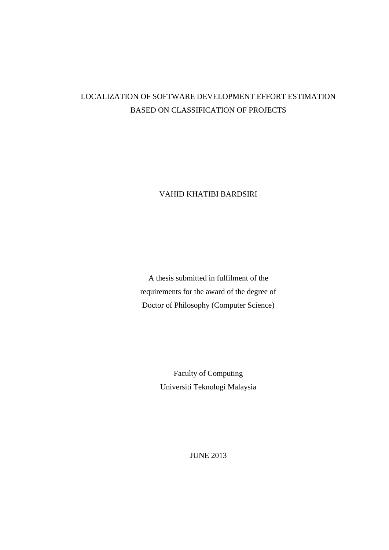# LOCALIZATION OF SOFTWARE DEVELOPMENT EFFORT ESTIMATION BASED ON CLASSIFICATION OF PROJECTS

VAHID KHATIBI BARDSIRI

A thesis submitted in fulfilment of the requirements for the award of the degree of Doctor of Philosophy (Computer Science)

> Faculty of Computing Universiti Teknologi Malaysia

> > JUNE 2013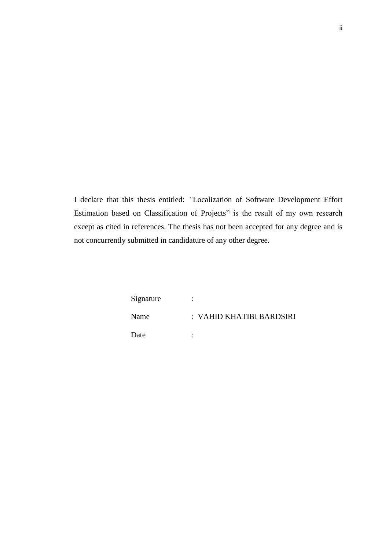I declare that this thesis entitled: *"*Localization of Software Development Effort Estimation based on Classification of Projects" is the result of my own research except as cited in references. The thesis has not been accepted for any degree and is not concurrently submitted in candidature of any other degree.

| Signature | ٠<br>$\bullet$           |
|-----------|--------------------------|
| Name      | : VAHID KHATIBI BARDSIRI |
| Date      | ٠                        |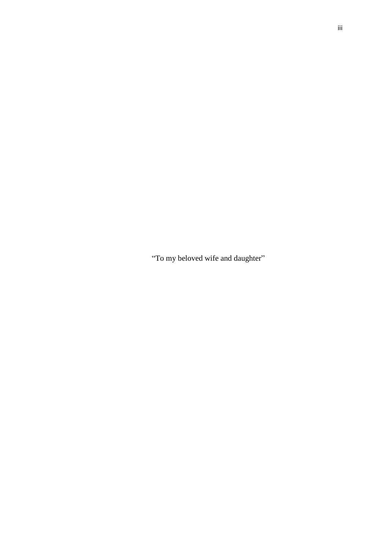"To my beloved wife and daughter"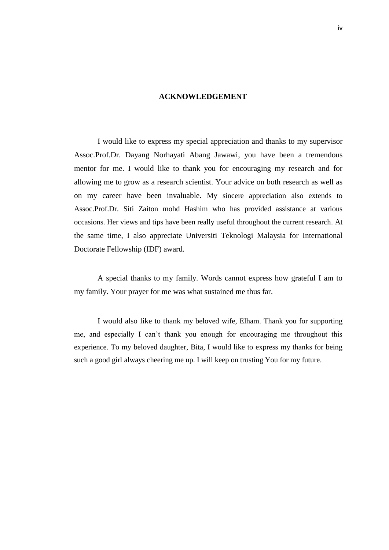#### **ACKNOWLEDGEMENT**

I would like to express my special appreciation and thanks to my supervisor Assoc.Prof.Dr. Dayang Norhayati Abang Jawawi, you have been a tremendous mentor for me. I would like to thank you for encouraging my research and for allowing me to grow as a research scientist. Your advice on both research as well as on my career have been invaluable. My sincere appreciation also extends to Assoc.Prof.Dr. Siti Zaiton mohd Hashim who has provided assistance at various occasions. Her views and tips have been really useful throughout the current research. At the same time, I also appreciate Universiti Teknologi Malaysia for International Doctorate Fellowship (IDF) award.

A special thanks to my family. Words cannot express how grateful I am to my family. Your prayer for me was what sustained me thus far.

I would also like to thank my beloved wife, Elham. Thank you for supporting me, and especially I can't thank you enough for encouraging me throughout this experience. To my beloved daughter, Bita, I would like to express my thanks for being such a good girl always cheering me up. I will keep on trusting You for my future.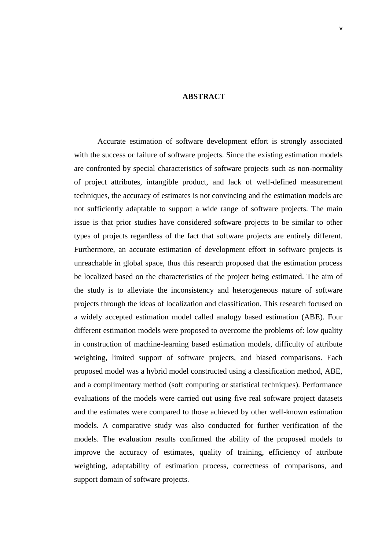### **ABSTRACT**

Accurate estimation of software development effort is strongly associated with the success or failure of software projects. Since the existing estimation models are confronted by special characteristics of software projects such as non-normality of project attributes, intangible product, and lack of well-defined measurement techniques, the accuracy of estimates is not convincing and the estimation models are not sufficiently adaptable to support a wide range of software projects. The main issue is that prior studies have considered software projects to be similar to other types of projects regardless of the fact that software projects are entirely different. Furthermore, an accurate estimation of development effort in software projects is unreachable in global space, thus this research proposed that the estimation process be localized based on the characteristics of the project being estimated. The aim of the study is to alleviate the inconsistency and heterogeneous nature of software projects through the ideas of localization and classification. This research focused on a widely accepted estimation model called analogy based estimation (ABE). Four different estimation models were proposed to overcome the problems of: low quality in construction of machine-learning based estimation models, difficulty of attribute weighting, limited support of software projects, and biased comparisons. Each proposed model was a hybrid model constructed using a classification method, ABE, and a complimentary method (soft computing or statistical techniques). Performance evaluations of the models were carried out using five real software project datasets and the estimates were compared to those achieved by other well-known estimation models. A comparative study was also conducted for further verification of the models. The evaluation results confirmed the ability of the proposed models to improve the accuracy of estimates, quality of training, efficiency of attribute weighting, adaptability of estimation process, correctness of comparisons, and support domain of software projects.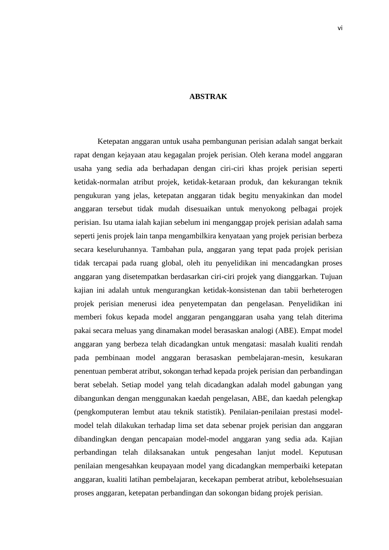### **ABSTRAK**

Ketepatan anggaran untuk usaha pembangunan perisian adalah sangat berkait rapat dengan kejayaan atau kegagalan projek perisian. Oleh kerana model anggaran usaha yang sedia ada berhadapan dengan ciri-ciri khas projek perisian seperti ketidak-normalan atribut projek, ketidak-ketaraan produk, dan kekurangan teknik pengukuran yang jelas, ketepatan anggaran tidak begitu menyakinkan dan model anggaran tersebut tidak mudah disesuaikan untuk menyokong pelbagai projek perisian. Isu utama ialah kajian sebelum ini menganggap projek perisian adalah sama seperti jenis projek lain tanpa mengambilkira kenyataan yang projek perisian berbeza secara keseluruhannya. Tambahan pula, anggaran yang tepat pada projek perisian tidak tercapai pada ruang global, oleh itu penyelidikan ini mencadangkan proses anggaran yang disetempatkan berdasarkan ciri-ciri projek yang dianggarkan. Tujuan kajian ini adalah untuk mengurangkan ketidak-konsistenan dan tabii berheterogen projek perisian menerusi idea penyetempatan dan pengelasan. Penyelidikan ini memberi fokus kepada model anggaran penganggaran usaha yang telah diterima pakai secara meluas yang dinamakan model berasaskan analogi (ABE)*.* Empat model anggaran yang berbeza telah dicadangkan untuk mengatasi: masalah kualiti rendah pada pembinaan model anggaran berasaskan pembelajaran-mesin, kesukaran penentuan pemberat atribut*,*sokongan terhad kepada projek perisian dan perbandingan berat sebelah. Setiap model yang telah dicadangkan adalah model gabungan yang dibangunkan dengan menggunakan kaedah pengelasan, ABE, dan kaedah pelengkap (pengkomputeran lembut atau teknik statistik). Penilaian-penilaian prestasi modelmodel telah dilakukan terhadap lima set data sebenar projek perisian dan anggaran dibandingkan dengan pencapaian model-model anggaran yang sedia ada. Kajian perbandingan telah dilaksanakan untuk pengesahan lanjut model. Keputusan penilaian mengesahkan keupayaan model yang dicadangkan memperbaiki ketepatan anggaran, kualiti latihan pembelajaran, kecekapan pemberat atribut, kebolehsesuaian proses anggaran, ketepatan perbandingan dan sokongan bidang projek perisian.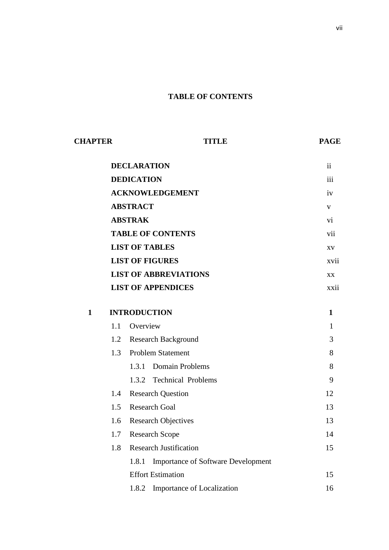## **TABLE OF CONTENTS**

| <b>CHAPTER</b> |                 | <b>TITLE</b>                                       | <b>PAGE</b>  |  |  |  |
|----------------|-----------------|----------------------------------------------------|--------------|--|--|--|
|                |                 | <b>DECLARATION</b>                                 | ii           |  |  |  |
|                |                 | <b>DEDICATION</b>                                  |              |  |  |  |
|                |                 | <b>ACKNOWLEDGEMENT</b>                             | iv           |  |  |  |
|                | <b>ABSTRACT</b> | $\mathbf V$<br>vi                                  |              |  |  |  |
|                | <b>ABSTRAK</b>  |                                                    |              |  |  |  |
|                |                 | <b>TABLE OF CONTENTS</b>                           | vii          |  |  |  |
|                |                 | <b>LIST OF TABLES</b>                              | XV           |  |  |  |
|                |                 | <b>LIST OF FIGURES</b>                             | xvii         |  |  |  |
|                |                 | <b>LIST OF ABBREVIATIONS</b>                       | XX           |  |  |  |
|                |                 | <b>LIST OF APPENDICES</b>                          | xxii         |  |  |  |
| $\mathbf{1}$   |                 | <b>INTRODUCTION</b>                                | $\mathbf{1}$ |  |  |  |
|                | 1.1             | Overview                                           | 1            |  |  |  |
|                | 1.2             | <b>Research Background</b>                         | 3            |  |  |  |
|                | 1.3             | <b>Problem Statement</b>                           | 8            |  |  |  |
|                |                 | <b>Domain Problems</b><br>1.3.1                    | 8            |  |  |  |
|                |                 | 1.3.2 Technical Problems                           | 9            |  |  |  |
|                | 1.4             | <b>Research Question</b>                           | 12           |  |  |  |
|                | 1.5             | <b>Research Goal</b>                               | 13           |  |  |  |
|                | 1.6             | <b>Research Objectives</b>                         | 13           |  |  |  |
|                | 1.7             | Research Scope                                     | 14           |  |  |  |
|                | 1.8             | <b>Research Justification</b>                      | 15           |  |  |  |
|                |                 | <b>Importance of Software Development</b><br>1.8.1 |              |  |  |  |
|                |                 | <b>Effort Estimation</b>                           | 15           |  |  |  |
|                |                 | Importance of Localization<br>1.8.2                | 16           |  |  |  |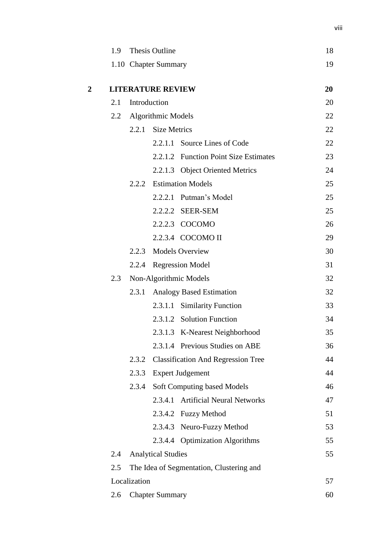|                | 1.9 | Thesis Outline |                                          |                                           | 18 |  |
|----------------|-----|----------------|------------------------------------------|-------------------------------------------|----|--|
|                |     |                | 1.10 Chapter Summary                     |                                           | 19 |  |
|                |     |                |                                          |                                           |    |  |
| $\overline{2}$ |     |                | <b>LITERATURE REVIEW</b>                 |                                           | 20 |  |
|                | 2.1 |                | Introduction                             |                                           | 20 |  |
|                |     |                | 2.2 Algorithmic Models                   |                                           | 22 |  |
|                |     | 2.2.1          | <b>Size Metrics</b>                      |                                           | 22 |  |
|                |     |                |                                          | 2.2.1.1 Source Lines of Code              | 22 |  |
|                |     |                |                                          | 2.2.1.2 Function Point Size Estimates     | 23 |  |
|                |     |                |                                          | 2.2.1.3 Object Oriented Metrics           | 24 |  |
|                |     |                |                                          | 2.2.2 Estimation Models                   | 25 |  |
|                |     |                |                                          | 2.2.2.1 Putman's Model                    | 25 |  |
|                |     |                |                                          | 2.2.2.2 SEER-SEM                          | 25 |  |
|                |     |                |                                          | 2.2.2.3 COCOMO                            | 26 |  |
|                |     |                |                                          | 2.2.3.4 COCOMO II                         | 29 |  |
|                |     | 2.2.3          |                                          | <b>Models Overview</b>                    | 30 |  |
|                |     |                |                                          | 2.2.4 Regression Model                    | 31 |  |
|                | 2.3 |                |                                          | Non-Algorithmic Models                    | 32 |  |
|                |     | 2.3.1          |                                          | <b>Analogy Based Estimation</b>           | 32 |  |
|                |     |                |                                          | 2.3.1.1 Similarity Function               | 33 |  |
|                |     |                |                                          | 2.3.1.2 Solution Function                 | 34 |  |
|                |     |                |                                          | 2.3.1.3 K-Nearest Neighborhood            | 35 |  |
|                |     |                |                                          | 2.3.1.4 Previous Studies on ABE           | 36 |  |
|                |     | 2.3.2          |                                          | <b>Classification And Regression Tree</b> | 44 |  |
|                |     | 2.3.3          |                                          | <b>Expert Judgement</b>                   | 44 |  |
|                |     | 2.3.4          |                                          | Soft Computing based Models               | 46 |  |
|                |     |                |                                          | 2.3.4.1 Artificial Neural Networks        | 47 |  |
|                |     |                |                                          | 2.3.4.2 Fuzzy Method                      | 51 |  |
|                |     |                |                                          | 2.3.4.3 Neuro-Fuzzy Method                | 53 |  |
|                |     |                |                                          | 2.3.4.4 Optimization Algorithms           | 55 |  |
|                | 2.4 |                | <b>Analytical Studies</b>                |                                           | 55 |  |
|                | 2.5 |                | The Idea of Segmentation, Clustering and |                                           |    |  |
|                |     | Localization   |                                          |                                           | 57 |  |
|                | 2.6 |                | <b>Chapter Summary</b>                   |                                           | 60 |  |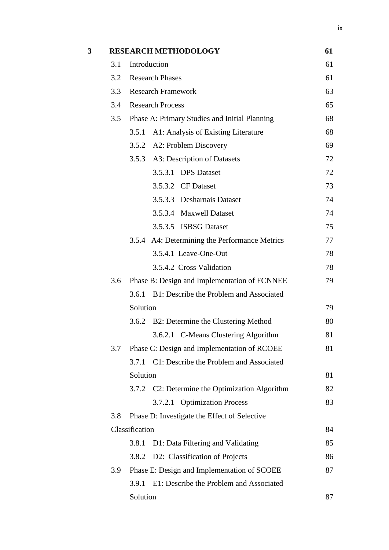| 3 |     | <b>RESEARCH METHODOLOGY</b>                      | 61 |
|---|-----|--------------------------------------------------|----|
|   | 3.1 | Introduction                                     | 61 |
|   | 3.2 | <b>Research Phases</b>                           | 61 |
|   | 3.3 | <b>Research Framework</b>                        | 63 |
|   | 3.4 | <b>Research Process</b>                          | 65 |
|   | 3.5 | Phase A: Primary Studies and Initial Planning    | 68 |
|   |     | A1: Analysis of Existing Literature<br>3.5.1     | 68 |
|   |     | 3.5.2 A2: Problem Discovery                      | 69 |
|   |     | 3.5.3 A3: Description of Datasets                | 72 |
|   |     | 3.5.3.1 DPS Dataset                              | 72 |
|   |     | 3.5.3.2 CF Dataset                               | 73 |
|   |     | 3.5.3.3 Desharnais Dataset                       | 74 |
|   |     | 3.5.3.4 Maxwell Dataset                          | 74 |
|   |     | 3.5.3.5 ISBSG Dataset                            | 75 |
|   |     | 3.5.4 A4: Determining the Performance Metrics    | 77 |
|   |     | 3.5.4.1 Leave-One-Out                            | 78 |
|   |     | 3.5.4.2 Cross Validation                         | 78 |
|   | 3.6 | Phase B: Design and Implementation of FCNNEE     | 79 |
|   |     | 3.6.1 B1: Describe the Problem and Associated    |    |
|   |     | Solution                                         | 79 |
|   |     | 3.6.2 B2: Determine the Clustering Method        | 80 |
|   |     | 3.6.2.1 C-Means Clustering Algorithm             | 81 |
|   | 3.7 | Phase C: Design and Implementation of RCOEE      | 81 |
|   |     | 3.7.1 C1: Describe the Problem and Associated    |    |
|   |     | Solution                                         | 81 |
|   |     | 3.7.2 C2: Determine the Optimization Algorithm   | 82 |
|   |     | 3.7.2.1 Optimization Process                     | 83 |
|   | 3.8 | Phase D: Investigate the Effect of Selective     |    |
|   |     | Classification                                   | 84 |
|   |     | D1: Data Filtering and Validating<br>3.8.1       | 85 |
|   |     | D2: Classification of Projects<br>3.8.2          | 86 |
|   | 3.9 | Phase E: Design and Implementation of SCOEE      | 87 |
|   |     | E1: Describe the Problem and Associated<br>3.9.1 |    |
|   |     | Solution                                         | 87 |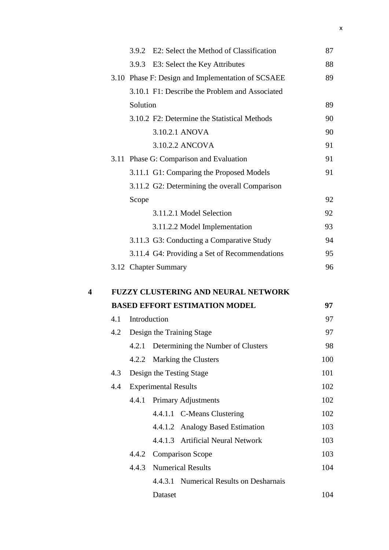|                         |     |              | 3.9.2 E2: Select the Method of Classification |                                                   | 87  |
|-------------------------|-----|--------------|-----------------------------------------------|---------------------------------------------------|-----|
|                         |     |              |                                               |                                                   |     |
|                         |     |              | 3.9.3 E3: Select the Key Attributes           |                                                   | 88  |
|                         |     |              |                                               | 3.10 Phase F: Design and Implementation of SCSAEE | 89  |
|                         |     |              |                                               | 3.10.1 F1: Describe the Problem and Associated    |     |
|                         |     | Solution     |                                               |                                                   | 89  |
|                         |     |              | 3.10.2 F2: Determine the Statistical Methods  |                                                   | 90  |
|                         |     |              | 3.10.2.1 ANOVA                                |                                                   | 90  |
|                         |     |              | 3.10.2.2 ANCOVA                               |                                                   | 91  |
|                         |     |              | 3.11 Phase G: Comparison and Evaluation       |                                                   | 91  |
|                         |     |              | 3.11.1 G1: Comparing the Proposed Models      |                                                   | 91  |
|                         |     |              |                                               | 3.11.2 G2: Determining the overall Comparison     |     |
|                         |     | Scope        |                                               |                                                   | 92  |
|                         |     |              | 3.11.2.1 Model Selection                      |                                                   | 92  |
|                         |     |              | 3.11.2.2 Model Implementation                 |                                                   | 93  |
|                         |     |              | 3.11.3 G3: Conducting a Comparative Study     |                                                   | 94  |
|                         |     |              |                                               | 3.11.4 G4: Providing a Set of Recommendations     | 95  |
|                         |     |              | 3.12 Chapter Summary                          |                                                   | 96  |
| $\overline{\mathbf{4}}$ |     |              |                                               | <b>FUZZY CLUSTERING AND NEURAL NETWORK</b>        |     |
|                         |     |              | <b>BASED EFFORT ESTIMATION MODEL</b>          |                                                   | 97  |
|                         | 4.1 | Introduction |                                               |                                                   | 97  |
|                         | 4.2 |              | Design the Training Stage                     |                                                   | 97  |
|                         |     | 4.2.1        | Determining the Number of Clusters            |                                                   | 98  |
|                         |     | 4.2.2        | Marking the Clusters                          |                                                   | 100 |
|                         | 4.3 |              | Design the Testing Stage                      |                                                   | 101 |
|                         | 4.4 |              | <b>Experimental Results</b>                   |                                                   | 102 |
|                         |     |              | 4.4.1 Primary Adjustments                     |                                                   | 102 |
|                         |     |              | 4.4.1.1 C-Means Clustering                    |                                                   | 102 |
|                         |     |              | 4.4.1.2 Analogy Based Estimation              |                                                   | 103 |
|                         |     |              | 4.4.1.3 Artificial Neural Network             |                                                   | 103 |
|                         |     |              | 4.4.2 Comparison Scope                        |                                                   | 103 |
|                         |     | 4.4.3        | <b>Numerical Results</b>                      |                                                   | 104 |
|                         |     |              |                                               | 4.4.3.1 Numerical Results on Desharnais           |     |
|                         |     |              | Dataset                                       |                                                   | 104 |
|                         |     |              |                                               |                                                   |     |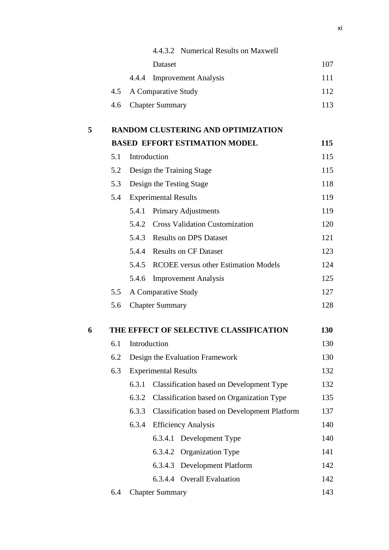|   |     |              |                             | 4.4.3.2 Numerical Results on Maxwell                |     |
|---|-----|--------------|-----------------------------|-----------------------------------------------------|-----|
|   |     |              | Dataset                     |                                                     | 107 |
|   |     | 4.4.4        |                             | <b>Improvement Analysis</b>                         | 111 |
|   | 4.5 |              | A Comparative Study         |                                                     | 112 |
|   | 4.6 |              | <b>Chapter Summary</b>      |                                                     | 113 |
| 5 |     |              |                             | <b>RANDOM CLUSTERING AND OPTIMIZATION</b>           |     |
|   |     |              |                             | <b>BASED EFFORT ESTIMATION MODEL</b>                | 115 |
|   | 5.1 | Introduction |                             |                                                     | 115 |
|   | 5.2 |              |                             | Design the Training Stage                           | 115 |
|   | 5.3 |              |                             | Design the Testing Stage                            | 118 |
|   | 5.4 |              | <b>Experimental Results</b> |                                                     | 119 |
|   |     | 5.4.1        |                             | Primary Adjustments                                 | 119 |
|   |     |              |                             | 5.4.2 Cross Validation Customization                | 120 |
|   |     |              |                             | 5.4.3 Results on DPS Dataset                        | 121 |
|   |     |              |                             | 5.4.4 Results on CF Dataset                         | 123 |
|   |     |              |                             | 5.4.5 RCOEE versus other Estimation Models          | 124 |
|   |     | 5.4.6        |                             | <b>Improvement Analysis</b>                         | 125 |
|   | 5.5 |              | A Comparative Study         |                                                     | 127 |
|   | 5.6 |              | <b>Chapter Summary</b>      |                                                     | 128 |
| 6 |     |              |                             | THE EFFECT OF SELECTIVE CLASSIFICATION              | 130 |
|   | 6.1 | Introduction |                             |                                                     | 130 |
|   | 6.2 |              |                             | Design the Evaluation Framework                     | 130 |
|   | 6.3 |              | <b>Experimental Results</b> |                                                     | 132 |
|   |     | 6.3.1        |                             | Classification based on Development Type            | 132 |
|   |     | 6.3.2        |                             | Classification based on Organization Type           | 135 |
|   |     | 6.3.3        |                             | <b>Classification based on Development Platform</b> | 137 |
|   |     | 6.3.4        |                             | <b>Efficiency Analysis</b>                          | 140 |
|   |     |              | 6.3.4.1                     | Development Type                                    | 140 |
|   |     |              | 6.3.4.2                     | Organization Type                                   | 141 |
|   |     |              | 6.3.4.3                     | <b>Development Platform</b>                         | 142 |
|   |     |              |                             | 6.3.4.4 Overall Evaluation                          | 142 |
|   | 6.4 |              | <b>Chapter Summary</b>      |                                                     | 143 |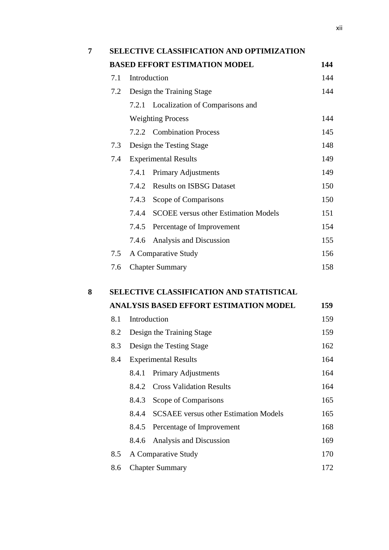| 7 |     | <b>SELECTIVE CLASSIFICATION AND OPTIMIZATION</b>      |     |  |  |  |  |  |  |  |  |
|---|-----|-------------------------------------------------------|-----|--|--|--|--|--|--|--|--|
|   |     | <b>BASED EFFORT ESTIMATION MODEL</b>                  | 144 |  |  |  |  |  |  |  |  |
|   | 7.1 | Introduction                                          | 144 |  |  |  |  |  |  |  |  |
|   | 7.2 | Design the Training Stage                             | 144 |  |  |  |  |  |  |  |  |
|   |     | 7.2.1 Localization of Comparisons and                 |     |  |  |  |  |  |  |  |  |
|   |     | <b>Weighting Process</b>                              | 144 |  |  |  |  |  |  |  |  |
|   |     | 7.2.2 Combination Process                             | 145 |  |  |  |  |  |  |  |  |
|   | 7.3 | Design the Testing Stage                              | 148 |  |  |  |  |  |  |  |  |
|   | 7.4 | <b>Experimental Results</b>                           | 149 |  |  |  |  |  |  |  |  |
|   |     | 7.4.1 Primary Adjustments                             | 149 |  |  |  |  |  |  |  |  |
|   |     | 7.4.2 Results on ISBSG Dataset                        | 150 |  |  |  |  |  |  |  |  |
|   |     | 7.4.3 Scope of Comparisons                            | 150 |  |  |  |  |  |  |  |  |
|   |     | 7.4.4<br><b>SCOEE</b> versus other Estimation Models  | 151 |  |  |  |  |  |  |  |  |
|   |     | 7.4.5 Percentage of Improvement                       | 154 |  |  |  |  |  |  |  |  |
|   |     | Analysis and Discussion<br>7.4.6                      | 155 |  |  |  |  |  |  |  |  |
|   | 7.5 | A Comparative Study                                   | 156 |  |  |  |  |  |  |  |  |
|   | 7.6 | <b>Chapter Summary</b>                                | 158 |  |  |  |  |  |  |  |  |
| 8 |     | <b>SELECTIVE CLASSIFICATION AND STATISTICAL</b>       |     |  |  |  |  |  |  |  |  |
|   |     | <b>ANALYSIS BASED EFFORT ESTIMATION MODEL</b>         | 159 |  |  |  |  |  |  |  |  |
|   | 8.1 | Introduction                                          | 159 |  |  |  |  |  |  |  |  |
|   | 8.2 | Design the Training Stage                             | 159 |  |  |  |  |  |  |  |  |
|   | 8.3 | Design the Testing Stage                              | 162 |  |  |  |  |  |  |  |  |
|   | 8.4 | <b>Experimental Results</b>                           | 164 |  |  |  |  |  |  |  |  |
|   |     | Primary Adjustments<br>8.4.1                          | 164 |  |  |  |  |  |  |  |  |
|   |     | <b>Cross Validation Results</b><br>8.4.2              | 164 |  |  |  |  |  |  |  |  |
|   |     | 8.4.3<br>Scope of Comparisons                         | 165 |  |  |  |  |  |  |  |  |
|   |     | 8.4.4<br><b>SCSAEE</b> versus other Estimation Models | 165 |  |  |  |  |  |  |  |  |
|   |     | 8.4.5<br>Percentage of Improvement                    | 168 |  |  |  |  |  |  |  |  |
|   |     | 8.4.6<br>Analysis and Discussion                      | 169 |  |  |  |  |  |  |  |  |
|   | 8.5 | A Comparative Study                                   | 170 |  |  |  |  |  |  |  |  |
|   | 8.6 | <b>Chapter Summary</b>                                | 172 |  |  |  |  |  |  |  |  |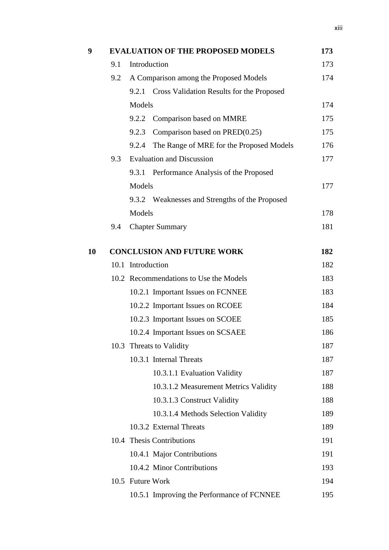| 9  |                                   | <b>EVALUATION OF THE PROPOSED MODELS</b>          | 173 |  |  |  |
|----|-----------------------------------|---------------------------------------------------|-----|--|--|--|
|    | 9.1                               | Introduction                                      | 173 |  |  |  |
|    | 9.2                               | A Comparison among the Proposed Models            | 174 |  |  |  |
|    |                                   | 9.2.1 Cross Validation Results for the Proposed   |     |  |  |  |
|    |                                   | Models                                            | 174 |  |  |  |
|    |                                   | 9.2.2<br>Comparison based on MMRE                 | 175 |  |  |  |
|    |                                   | Comparison based on PRED(0.25)<br>9.2.3           | 175 |  |  |  |
|    |                                   | 9.2.4<br>The Range of MRE for the Proposed Models | 176 |  |  |  |
|    | 9.3                               | <b>Evaluation and Discussion</b>                  | 177 |  |  |  |
|    |                                   | Performance Analysis of the Proposed<br>9.3.1     |     |  |  |  |
|    |                                   | Models                                            | 177 |  |  |  |
|    |                                   | 9.3.2 Weaknesses and Strengths of the Proposed    |     |  |  |  |
|    |                                   | Models                                            | 178 |  |  |  |
|    | 9.4                               | <b>Chapter Summary</b>                            | 181 |  |  |  |
|    |                                   |                                                   |     |  |  |  |
| 10 | <b>CONCLUSION AND FUTURE WORK</b> |                                                   |     |  |  |  |
|    |                                   | 10.1 Introduction                                 |     |  |  |  |
|    |                                   | 10.2 Recommendations to Use the Models            | 183 |  |  |  |
|    |                                   | 10.2.1 Important Issues on FCNNEE                 | 183 |  |  |  |
|    |                                   | 10.2.2 Important Issues on RCOEE                  | 184 |  |  |  |
|    |                                   | 10.2.3 Important Issues on SCOEE                  | 185 |  |  |  |
|    |                                   | 10.2.4 Important Issues on SCSAEE                 | 186 |  |  |  |
|    |                                   | 10.3 Threats to Validity                          | 187 |  |  |  |
|    |                                   | 10.3.1 Internal Threats                           | 187 |  |  |  |
|    |                                   | 10.3.1.1 Evaluation Validity                      | 187 |  |  |  |
|    |                                   | 10.3.1.2 Measurement Metrics Validity             | 188 |  |  |  |
|    |                                   | 10.3.1.3 Construct Validity                       | 188 |  |  |  |
|    |                                   | 10.3.1.4 Methods Selection Validity               | 189 |  |  |  |
|    |                                   | 10.3.2 External Threats                           | 189 |  |  |  |
|    |                                   | 10.4 Thesis Contributions                         | 191 |  |  |  |
|    |                                   | 10.4.1 Major Contributions                        | 191 |  |  |  |
|    |                                   | 10.4.2 Minor Contributions                        | 193 |  |  |  |
|    |                                   | 10.5 Future Work                                  | 194 |  |  |  |
|    |                                   | 10.5.1 Improving the Performance of FCNNEE        | 195 |  |  |  |